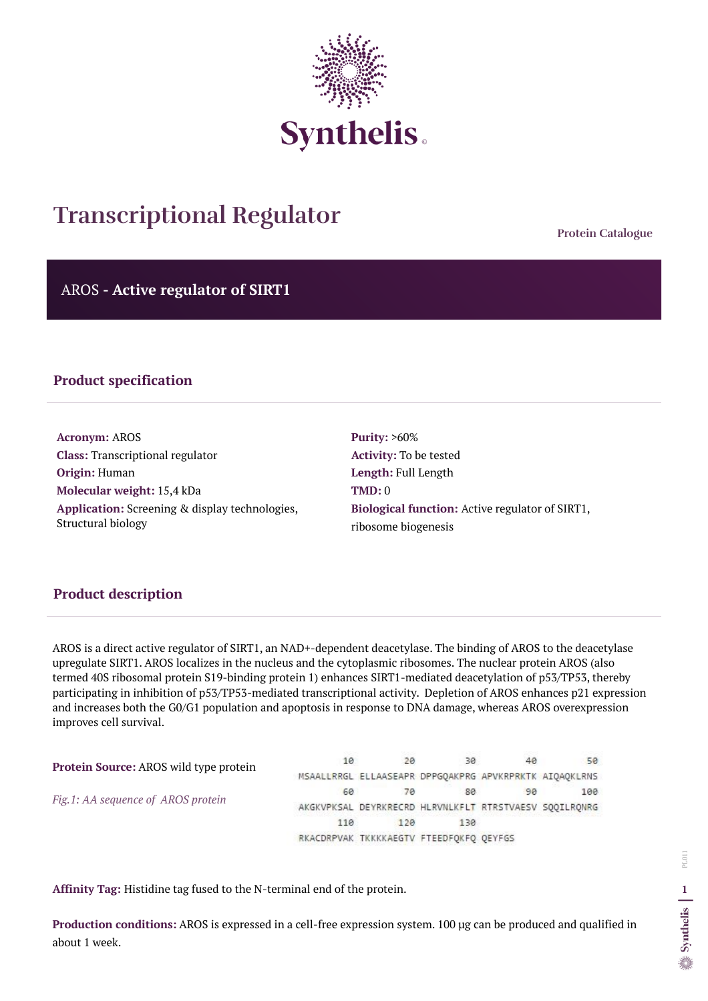**Protein Catalogue**

AROS **- Active regulator of SIRT1**



# **Transcriptional Regulator**

# **Product specification**

**Acronym:** AROS **Class:** Transcriptional regulator **Origin:** Human **Molecular weight:** 15,4 kDa **Application:** Screening & display technologies, Structural biology

**Purity:** >60% **Activity:** To be tested **Length:** Full Length **TMD:** 0 **Biological function:** Active regulator of SIRT1, ribosome biogenesis

## **Product description**

AROS is a direct active regulator of SIRT1, an NAD+-dependent deacetylase. The binding of AROS to the deacetylase upregulate SIRT1. AROS localizes in the nucleus and the cytoplasmic ribosomes. The nuclear protein AROS (also termed 40S ribosomal protein S19-binding protein 1) enhances SIRT1-mediated deacetylation of p53/TP53, thereby participating in inhibition of p53/TP53-mediated transcriptional activity. Depletion of AROS enhances p21 expression and increases both the G0/G1 population and apoptosis in response to DNA damage, whereas AROS overexpression improves cell survival.

| <b>Protein Source: AROS wild type protein</b> | 10  | 20  | 30                                      | 50                                                     |
|-----------------------------------------------|-----|-----|-----------------------------------------|--------------------------------------------------------|
|                                               |     |     |                                         | MSAALLRRGL ELLAASEAPR DPPGOAKPRG APVKRPRKTK AIOAOKLRNS |
| Fig.1: AA sequence of AROS protein            | 60  | 70  | 80                                      | 100                                                    |
|                                               |     |     |                                         | AKGKVPKSAL DEYRKRECRD HLRVNLKFLT RTRSTVAESV SQQILRQNRG |
|                                               | 110 | 120 | 130                                     |                                                        |
|                                               |     |     | RKACDRPVAK TKKKKAEGTV FTEEDFOKFO OEYFGS |                                                        |

**Affinity Tag:** Histidine tag fused to the N-terminal end of the protein.

**Production conditions:** AROS is expressed in a cell-free expression system. 100 µg can be produced and qualified in about 1 week.